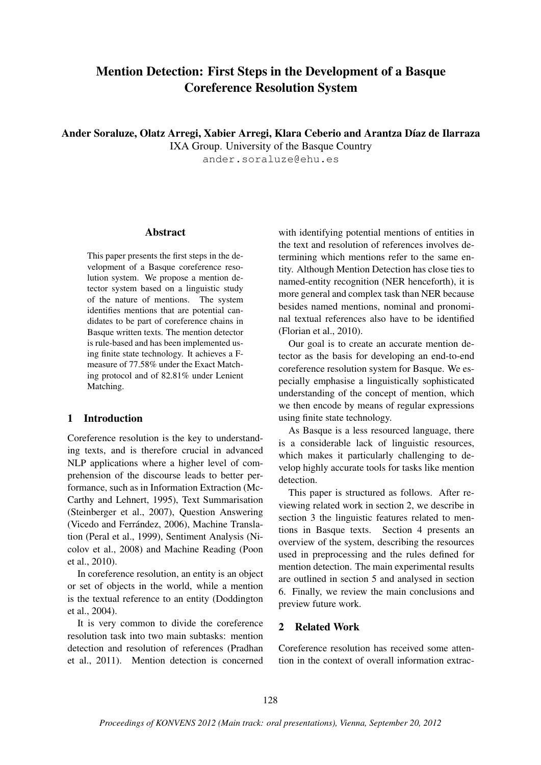# Mention Detection: First Steps in the Development of a Basque Coreference Resolution System

Ander Soraluze, Olatz Arregi, Xabier Arregi, Klara Ceberio and Arantza Díaz de Ilarraza

IXA Group. University of the Basque Country

ander.soraluze@ehu.es

### Abstract

This paper presents the first steps in the development of a Basque coreference resolution system. We propose a mention detector system based on a linguistic study of the nature of mentions. The system identifies mentions that are potential candidates to be part of coreference chains in Basque written texts. The mention detector is rule-based and has been implemented using finite state technology. It achieves a Fmeasure of 77.58% under the Exact Matching protocol and of 82.81% under Lenient Matching.

# 1 Introduction

Coreference resolution is the key to understanding texts, and is therefore crucial in advanced NLP applications where a higher level of comprehension of the discourse leads to better performance, such as in Information Extraction (Mc-Carthy and Lehnert, 1995), Text Summarisation (Steinberger et al., 2007), Question Answering (Vicedo and Ferrández, 2006), Machine Translation (Peral et al., 1999), Sentiment Analysis (Nicolov et al., 2008) and Machine Reading (Poon et al., 2010).

In coreference resolution, an entity is an object or set of objects in the world, while a mention is the textual reference to an entity (Doddington et al., 2004).

It is very common to divide the coreference resolution task into two main subtasks: mention detection and resolution of references (Pradhan et al., 2011). Mention detection is concerned

with identifying potential mentions of entities in the text and resolution of references involves determining which mentions refer to the same entity. Although Mention Detection has close ties to named-entity recognition (NER henceforth), it is more general and complex task than NER because besides named mentions, nominal and pronominal textual references also have to be identified (Florian et al., 2010).

Our goal is to create an accurate mention detector as the basis for developing an end-to-end coreference resolution system for Basque. We especially emphasise a linguistically sophisticated understanding of the concept of mention, which we then encode by means of regular expressions using finite state technology.

As Basque is a less resourced language, there is a considerable lack of linguistic resources, which makes it particularly challenging to develop highly accurate tools for tasks like mention detection.

This paper is structured as follows. After reviewing related work in section 2, we describe in section 3 the linguistic features related to mentions in Basque texts. Section 4 presents an overview of the system, describing the resources used in preprocessing and the rules defined for mention detection. The main experimental results are outlined in section 5 and analysed in section 6. Finally, we review the main conclusions and preview future work.

### 2 Related Work

Coreference resolution has received some attention in the context of overall information extrac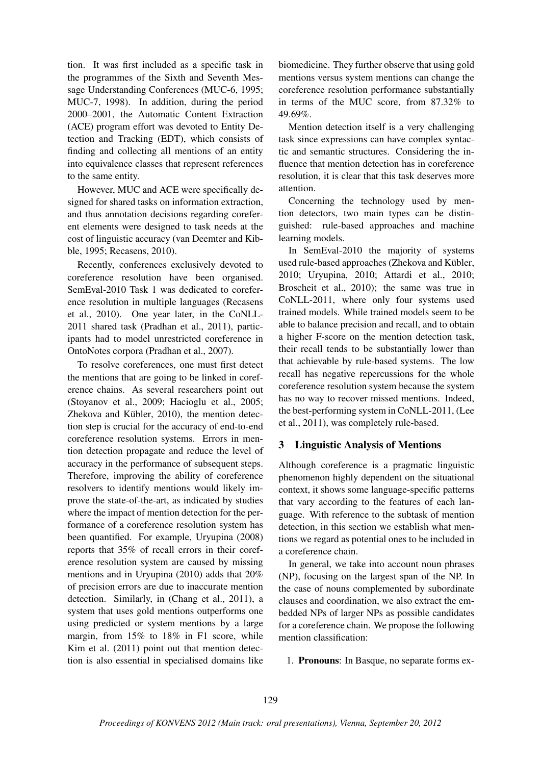tion. It was first included as a specific task in the programmes of the Sixth and Seventh Message Understanding Conferences (MUC-6, 1995; MUC-7, 1998). In addition, during the period 2000–2001, the Automatic Content Extraction (ACE) program effort was devoted to Entity Detection and Tracking (EDT), which consists of finding and collecting all mentions of an entity into equivalence classes that represent references to the same entity.

However, MUC and ACE were specifically designed for shared tasks on information extraction, and thus annotation decisions regarding coreferent elements were designed to task needs at the cost of linguistic accuracy (van Deemter and Kibble, 1995; Recasens, 2010).

Recently, conferences exclusively devoted to coreference resolution have been organised. SemEval-2010 Task 1 was dedicated to coreference resolution in multiple languages (Recasens et al., 2010). One year later, in the CoNLL-2011 shared task (Pradhan et al., 2011), participants had to model unrestricted coreference in OntoNotes corpora (Pradhan et al., 2007).

To resolve coreferences, one must first detect the mentions that are going to be linked in coreference chains. As several researchers point out (Stoyanov et al., 2009; Hacioglu et al., 2005; Zhekova and Kübler, 2010), the mention detection step is crucial for the accuracy of end-to-end coreference resolution systems. Errors in mention detection propagate and reduce the level of accuracy in the performance of subsequent steps. Therefore, improving the ability of coreference resolvers to identify mentions would likely improve the state-of-the-art, as indicated by studies where the impact of mention detection for the performance of a coreference resolution system has been quantified. For example, Uryupina (2008) reports that 35% of recall errors in their coreference resolution system are caused by missing mentions and in Uryupina (2010) adds that 20% of precision errors are due to inaccurate mention detection. Similarly, in (Chang et al., 2011), a system that uses gold mentions outperforms one using predicted or system mentions by a large margin, from 15% to 18% in F1 score, while Kim et al. (2011) point out that mention detection is also essential in specialised domains like

biomedicine. They further observe that using gold mentions versus system mentions can change the coreference resolution performance substantially in terms of the MUC score, from 87.32% to 49.69%.

Mention detection itself is a very challenging task since expressions can have complex syntactic and semantic structures. Considering the influence that mention detection has in coreference resolution, it is clear that this task deserves more attention.

Concerning the technology used by mention detectors, two main types can be distinguished: rule-based approaches and machine learning models.

In SemEval-2010 the majority of systems used rule-based approaches (Zhekova and Kübler, 2010; Uryupina, 2010; Attardi et al., 2010; Broscheit et al., 2010); the same was true in CoNLL-2011, where only four systems used trained models. While trained models seem to be able to balance precision and recall, and to obtain a higher F-score on the mention detection task, their recall tends to be substantially lower than that achievable by rule-based systems. The low recall has negative repercussions for the whole coreference resolution system because the system has no way to recover missed mentions. Indeed, the best-performing system in CoNLL-2011, (Lee et al., 2011), was completely rule-based.

## 3 Linguistic Analysis of Mentions

Although coreference is a pragmatic linguistic phenomenon highly dependent on the situational context, it shows some language-specific patterns that vary according to the features of each language. With reference to the subtask of mention detection, in this section we establish what mentions we regard as potential ones to be included in a coreference chain.

In general, we take into account noun phrases (NP), focusing on the largest span of the NP. In the case of nouns complemented by subordinate clauses and coordination, we also extract the embedded NPs of larger NPs as possible candidates for a coreference chain. We propose the following mention classification:

1. Pronouns: In Basque, no separate forms ex-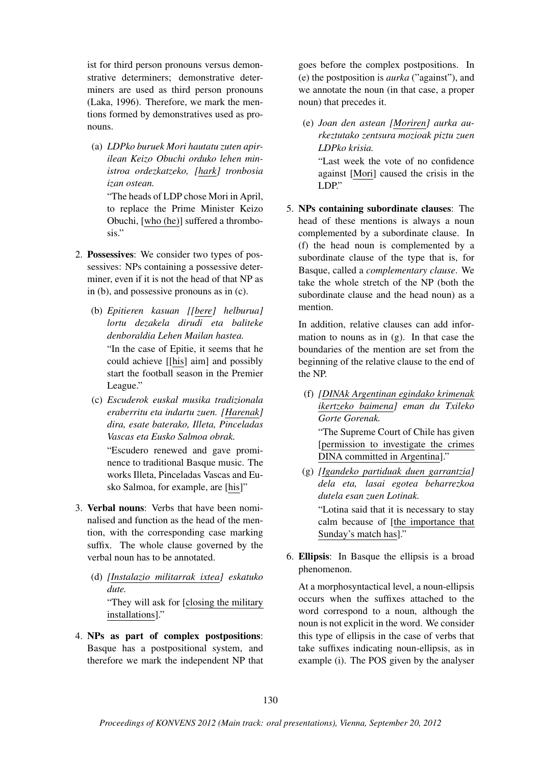ist for third person pronouns versus demonstrative determiners; demonstrative determiners are used as third person pronouns (Laka, 1996). Therefore, we mark the mentions formed by demonstratives used as pronouns.

(a) *LDPko buruek Mori hautatu zuten apirilean Keizo Obuchi orduko lehen ministroa ordezkatzeko, [hark] tronbosia izan ostean.*

"The heads of LDP chose Mori in April, to replace the Prime Minister Keizo Obuchi, [who (he)] suffered a thrombosis."

- 2. Possessives: We consider two types of possessives: NPs containing a possessive determiner, even if it is not the head of that NP as in (b), and possessive pronouns as in (c).
	- (b) *Epitieren kasuan [[bere] helburua] lortu dezakela dirudi eta baliteke denboraldia Lehen Mailan hastea.* "In the case of Epitie, it seems that he could achieve [[his] aim] and possibly start the football season in the Premier League."
	- (c) *Escuderok euskal musika tradizionala eraberritu eta indartu zuen. [Harenak] dira, esate baterako, Illeta, Pinceladas Vascas eta Eusko Salmoa obrak.*

"Escudero renewed and gave prominence to traditional Basque music. The works Illeta, Pinceladas Vascas and Eusko Salmoa, for example, are [his]"

- 3. Verbal nouns: Verbs that have been nominalised and function as the head of the mention, with the corresponding case marking suffix. The whole clause governed by the verbal noun has to be annotated.
	- (d) *[Instalazio militarrak ixtea] eskatuko dute.* "They will ask for [closing the military installations]."
- 4. NPs as part of complex postpositions: Basque has a postpositional system, and therefore we mark the independent NP that

goes before the complex postpositions. In (e) the postposition is *aurka* ("against"), and we annotate the noun (in that case, a proper noun) that precedes it.

(e) *Joan den astean [Moriren] aurka aurkeztutako zentsura mozioak piztu zuen LDPko krisia.*

"Last week the vote of no confidence against [Mori] caused the crisis in the LDP."

5. NPs containing subordinate clauses: The head of these mentions is always a noun complemented by a subordinate clause. In (f) the head noun is complemented by a subordinate clause of the type that is, for Basque, called a *complementary clause*. We take the whole stretch of the NP (both the subordinate clause and the head noun) as a mention.

In addition, relative clauses can add information to nouns as in  $(g)$ . In that case the boundaries of the mention are set from the beginning of the relative clause to the end of the NP.

(f) *[DINAk Argentinan egindako krimenak ikertzeko baimena] eman du Txileko Gorte Gorenak.*

"The Supreme Court of Chile has given [permission to investigate the crimes DINA committed in Argentina]."

- (g) *[Igandeko partiduak duen garrantzia] dela eta, lasai egotea beharrezkoa dutela esan zuen Lotinak.* "Lotina said that it is necessary to stay calm because of [the importance that Sunday's match has]."
- 6. Ellipsis: In Basque the ellipsis is a broad phenomenon.

At a morphosyntactical level, a noun-ellipsis occurs when the suffixes attached to the word correspond to a noun, although the noun is not explicit in the word. We consider this type of ellipsis in the case of verbs that take suffixes indicating noun-ellipsis, as in example (i). The POS given by the analyser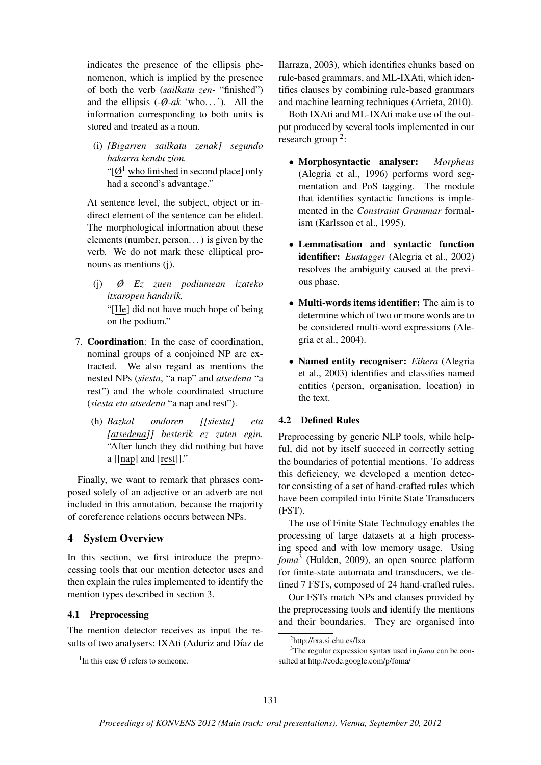indicates the presence of the ellipsis phenomenon, which is implied by the presence of both the verb (*sailkatu zen-* "finished") and the ellipsis  $(-\emptyset - ak \text{`who} \dots)$ . All the information corresponding to both units is stored and treated as a noun.

(i) *[Bigarren sailkatu zenak] segundo bakarra kendu zion.* " $[Ø<sup>1</sup>$  who finished in second place] only had a second's advantage."

At sentence level, the subject, object or indirect element of the sentence can be elided. The morphological information about these elements (number, person. . . ) is given by the verb. We do not mark these elliptical pronouns as mentions (j).

(j) *Ø Ez zuen podiumean izateko itxaropen handirik.*

"[He] did not have much hope of being on the podium."

- 7. Coordination: In the case of coordination, nominal groups of a conjoined NP are extracted. We also regard as mentions the nested NPs (*siesta*, "a nap" and *atsedena* "a rest") and the whole coordinated structure (*siesta eta atsedena* "a nap and rest").
	- (h) *Bazkal ondoren [[siesta] eta [atsedena]] besterik ez zuten egin.* "After lunch they did nothing but have a [[nap] and [rest]]."

Finally, we want to remark that phrases composed solely of an adjective or an adverb are not included in this annotation, because the majority of coreference relations occurs between NPs.

# 4 System Overview

In this section, we first introduce the preprocessing tools that our mention detector uses and then explain the rules implemented to identify the mention types described in section 3.

# 4.1 Preprocessing

The mention detector receives as input the results of two analysers: IXAti (Aduriz and Díaz de Ilarraza, 2003), which identifies chunks based on rule-based grammars, and ML-IXAti, which identifies clauses by combining rule-based grammars and machine learning techniques (Arrieta, 2010).

Both IXAti and ML-IXAti make use of the output produced by several tools implemented in our research group<sup>2</sup>:

- Morphosyntactic analyser: *Morpheus* (Alegria et al., 1996) performs word segmentation and PoS tagging. The module that identifies syntactic functions is implemented in the *Constraint Grammar* formalism (Karlsson et al., 1995).
- Lemmatisation and syntactic function identifier: *Eustagger* (Alegria et al., 2002) resolves the ambiguity caused at the previous phase.
- Multi-words items identifier: The aim is to determine which of two or more words are to be considered multi-word expressions (Alegria et al., 2004).
- Named entity recogniser: *Eihera* (Alegria et al., 2003) identifies and classifies named entities (person, organisation, location) in the text.

# 4.2 Defined Rules

Preprocessing by generic NLP tools, while helpful, did not by itself succeed in correctly setting the boundaries of potential mentions. To address this deficiency, we developed a mention detector consisting of a set of hand-crafted rules which have been compiled into Finite State Transducers (FST).

The use of Finite State Technology enables the processing of large datasets at a high processing speed and with low memory usage. Using *foma*<sup>3</sup> (Hulden, 2009), an open source platform for finite-state automata and transducers, we defined 7 FSTs, composed of 24 hand-crafted rules.

Our FSTs match NPs and clauses provided by the preprocessing tools and identify the mentions and their boundaries. They are organised into

<sup>&</sup>lt;sup>1</sup>In this case  $\emptyset$  refers to someone.

<sup>2</sup> http://ixa.si.ehu.es/Ixa

<sup>3</sup>The regular expression syntax used in *foma* can be consulted at http://code.google.com/p/foma/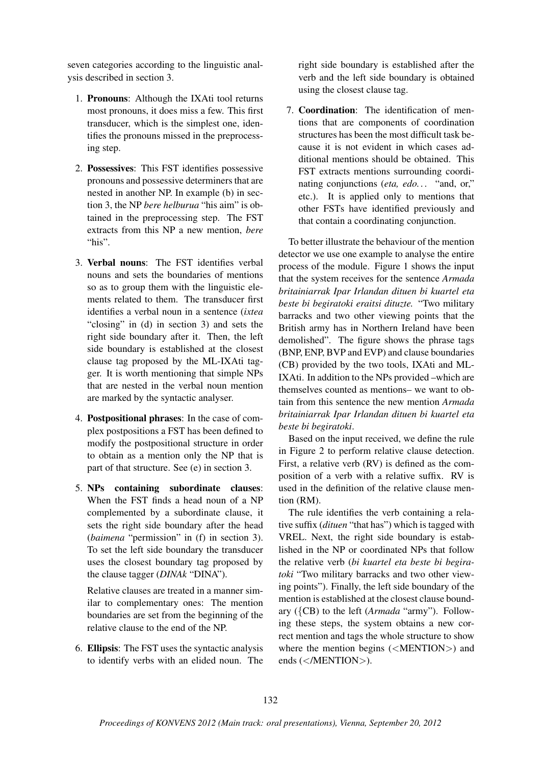seven categories according to the linguistic analysis described in section 3.

- 1. Pronouns: Although the IXAti tool returns most pronouns, it does miss a few. This first transducer, which is the simplest one, identifies the pronouns missed in the preprocessing step.
- 2. Possessives: This FST identifies possessive pronouns and possessive determiners that are nested in another NP. In example (b) in section 3, the NP *bere helburua* "his aim" is obtained in the preprocessing step. The FST extracts from this NP a new mention, *bere* "his".
- 3. Verbal nouns: The FST identifies verbal nouns and sets the boundaries of mentions so as to group them with the linguistic elements related to them. The transducer first identifies a verbal noun in a sentence (*ixtea* "closing" in (d) in section 3) and sets the right side boundary after it. Then, the left side boundary is established at the closest clause tag proposed by the ML-IXAti tagger. It is worth mentioning that simple NPs that are nested in the verbal noun mention are marked by the syntactic analyser.
- 4. Postpositional phrases: In the case of complex postpositions a FST has been defined to modify the postpositional structure in order to obtain as a mention only the NP that is part of that structure. See (e) in section 3.
- 5. NPs containing subordinate clauses: When the FST finds a head noun of a NP complemented by a subordinate clause, it sets the right side boundary after the head (*baimena* "permission" in (f) in section 3). To set the left side boundary the transducer uses the closest boundary tag proposed by the clause tagger (*DINAk* "DINA").

Relative clauses are treated in a manner similar to complementary ones: The mention boundaries are set from the beginning of the relative clause to the end of the NP.

6. Ellipsis: The FST uses the syntactic analysis to identify verbs with an elided noun. The right side boundary is established after the verb and the left side boundary is obtained using the closest clause tag.

7. Coordination: The identification of mentions that are components of coordination structures has been the most difficult task because it is not evident in which cases additional mentions should be obtained. This FST extracts mentions surrounding coordinating conjunctions (*eta, edo. . .* "and, or," etc.). It is applied only to mentions that other FSTs have identified previously and that contain a coordinating conjunction.

To better illustrate the behaviour of the mention detector we use one example to analyse the entire process of the module. Figure 1 shows the input that the system receives for the sentence *Armada britainiarrak Ipar Irlandan dituen bi kuartel eta beste bi begiratoki eraitsi dituzte.* "Two military barracks and two other viewing points that the British army has in Northern Ireland have been demolished". The figure shows the phrase tags (BNP, ENP, BVP and EVP) and clause boundaries (CB) provided by the two tools, IXAti and ML-IXAti. In addition to the NPs provided –which are themselves counted as mentions– we want to obtain from this sentence the new mention *Armada britainiarrak Ipar Irlandan dituen bi kuartel eta beste bi begiratoki*.

Based on the input received, we define the rule in Figure 2 to perform relative clause detection. First, a relative verb (RV) is defined as the composition of a verb with a relative suffix. RV is used in the definition of the relative clause mention (RM).

The rule identifies the verb containing a relative suffix (*dituen* "that has") which is tagged with VREL. Next, the right side boundary is established in the NP or coordinated NPs that follow the relative verb (*bi kuartel eta beste bi begiratoki* "Two military barracks and two other viewing points"). Finally, the left side boundary of the mention is established at the closest clause boundary ({CB) to the left (*Armada* "army"). Following these steps, the system obtains a new correct mention and tags the whole structure to show where the mention begins (<MENTION>) and ends (</MENTION>).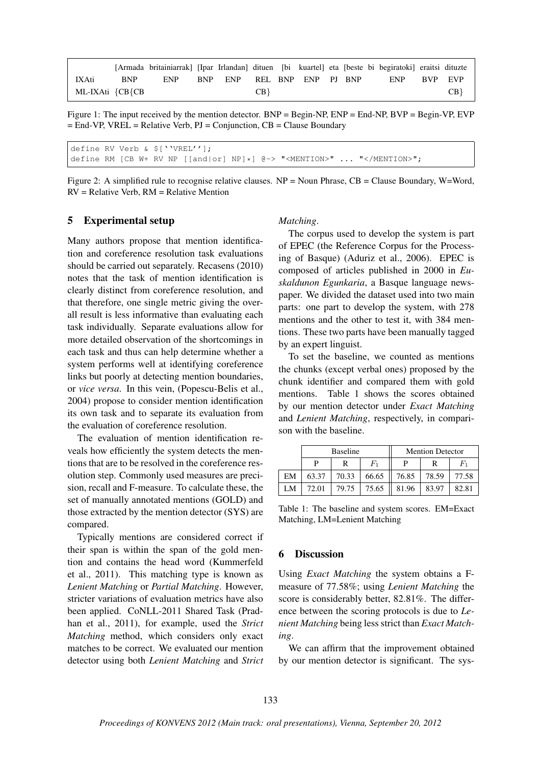|                 |            | [Armada britainiarrak] [Ipar Irlandan] dituen [bi kuartel] eta [beste bi begiratoki] eraitsi dituzte |                            |      |  |  |             |    |
|-----------------|------------|------------------------------------------------------------------------------------------------------|----------------------------|------|--|--|-------------|----|
| IXAti           | <b>BNP</b> | ENP                                                                                                  | BNP ENP REL BNP ENP PJ BNP |      |  |  | ENP BVP EVP |    |
| ML-IXAti ${CB}$ |            |                                                                                                      |                            | CB } |  |  |             | CB |

Figure 1: The input received by the mention detector. BNP = Begin-NP, ENP = End-NP, BVP = Begin-VP, EVP  $=$  End-VP, VREL = Relative Verb, PJ = Conjunction, CB = Clause Boundary

define RV Verb & \$[''VREL'']; define RM [CB W+ RV NP [[and|or] NP]\*]  $($ e-> "<MENTION>" ... "</MENTION>";

Figure 2: A simplified rule to recognise relative clauses. NP = Noun Phrase, CB = Clause Boundary, W=Word, RV = Relative Verb, RM = Relative Mention

# 5 Experimental setup

Many authors propose that mention identification and coreference resolution task evaluations should be carried out separately. Recasens (2010) notes that the task of mention identification is clearly distinct from coreference resolution, and that therefore, one single metric giving the overall result is less informative than evaluating each task individually. Separate evaluations allow for more detailed observation of the shortcomings in each task and thus can help determine whether a system performs well at identifying coreference links but poorly at detecting mention boundaries, or *vice versa*. In this vein, (Popescu-Belis et al., 2004) propose to consider mention identification its own task and to separate its evaluation from the evaluation of coreference resolution.

The evaluation of mention identification reveals how efficiently the system detects the mentions that are to be resolved in the coreference resolution step. Commonly used measures are precision, recall and F-measure. To calculate these, the set of manually annotated mentions (GOLD) and those extracted by the mention detector (SYS) are compared.

Typically mentions are considered correct if their span is within the span of the gold mention and contains the head word (Kummerfeld et al., 2011). This matching type is known as *Lenient Matching* or *Partial Matching*. However, stricter variations of evaluation metrics have also been applied. CoNLL-2011 Shared Task (Pradhan et al., 2011), for example, used the *Strict Matching* method, which considers only exact matches to be correct. We evaluated our mention detector using both *Lenient Matching* and *Strict*

#### *Matching*.

The corpus used to develop the system is part of EPEC (the Reference Corpus for the Processing of Basque) (Aduriz et al., 2006). EPEC is composed of articles published in 2000 in *Euskaldunon Egunkaria*, a Basque language newspaper. We divided the dataset used into two main parts: one part to develop the system, with 278 mentions and the other to test it, with 384 mentions. These two parts have been manually tagged by an expert linguist.

To set the baseline, we counted as mentions the chunks (except verbal ones) proposed by the chunk identifier and compared them with gold mentions. Table 1 shows the scores obtained by our mention detector under *Exact Matching* and *Lenient Matching*, respectively, in comparison with the baseline.

|    |       | <b>Baseline</b> |                | <b>Mention Detector</b> |       |       |  |  |  |  |
|----|-------|-----------------|----------------|-------------------------|-------|-------|--|--|--|--|
|    | P     | R               | $_{F_{\rm 1}}$ | P                       | R     |       |  |  |  |  |
| EM | 63.37 | 70.33           | 66.65          | 76.85                   | 78.59 | 77.58 |  |  |  |  |
| LM | 72.01 | 79.75           | 75.65          | 81.96                   | 83.97 | 82.81 |  |  |  |  |

Table 1: The baseline and system scores. EM=Exact Matching, LM=Lenient Matching

# 6 Discussion

Using *Exact Matching* the system obtains a Fmeasure of 77.58%; using *Lenient Matching* the score is considerably better, 82.81%. The difference between the scoring protocols is due to *Lenient Matching* being less strict than *Exact Matching*.

We can affirm that the improvement obtained by our mention detector is significant. The sys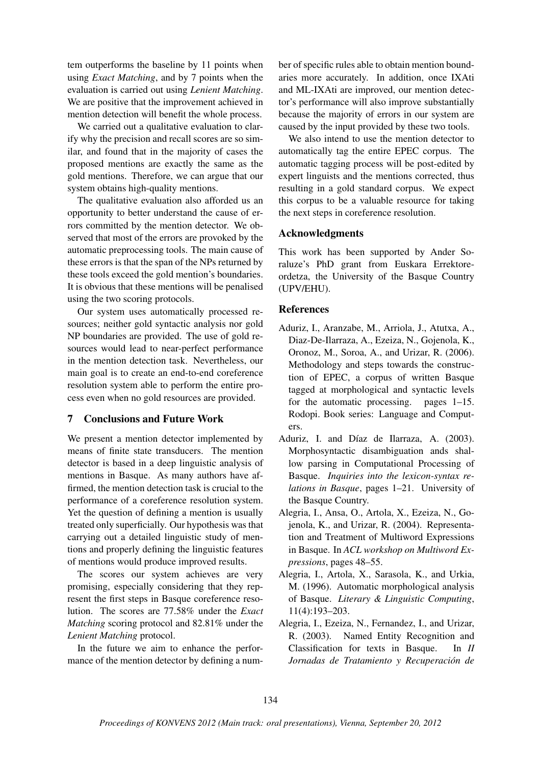tem outperforms the baseline by 11 points when using *Exact Matching*, and by 7 points when the evaluation is carried out using *Lenient Matching*. We are positive that the improvement achieved in mention detection will benefit the whole process.

We carried out a qualitative evaluation to clarify why the precision and recall scores are so similar, and found that in the majority of cases the proposed mentions are exactly the same as the gold mentions. Therefore, we can argue that our system obtains high-quality mentions.

The qualitative evaluation also afforded us an opportunity to better understand the cause of errors committed by the mention detector. We observed that most of the errors are provoked by the automatic preprocessing tools. The main cause of these errors is that the span of the NPs returned by these tools exceed the gold mention's boundaries. It is obvious that these mentions will be penalised using the two scoring protocols.

Our system uses automatically processed resources; neither gold syntactic analysis nor gold NP boundaries are provided. The use of gold resources would lead to near-perfect performance in the mention detection task. Nevertheless, our main goal is to create an end-to-end coreference resolution system able to perform the entire process even when no gold resources are provided.

### 7 Conclusions and Future Work

We present a mention detector implemented by means of finite state transducers. The mention detector is based in a deep linguistic analysis of mentions in Basque. As many authors have affirmed, the mention detection task is crucial to the performance of a coreference resolution system. Yet the question of defining a mention is usually treated only superficially. Our hypothesis was that carrying out a detailed linguistic study of mentions and properly defining the linguistic features of mentions would produce improved results.

The scores our system achieves are very promising, especially considering that they represent the first steps in Basque coreference resolution. The scores are 77.58% under the *Exact Matching* scoring protocol and 82.81% under the *Lenient Matching* protocol.

In the future we aim to enhance the performance of the mention detector by defining a num-

ber of specific rules able to obtain mention boundaries more accurately. In addition, once IXAti and ML-IXAti are improved, our mention detector's performance will also improve substantially because the majority of errors in our system are caused by the input provided by these two tools.

We also intend to use the mention detector to automatically tag the entire EPEC corpus. The automatic tagging process will be post-edited by expert linguists and the mentions corrected, thus resulting in a gold standard corpus. We expect this corpus to be a valuable resource for taking the next steps in coreference resolution.

# Acknowledgments

This work has been supported by Ander Soraluze's PhD grant from Euskara Errektoreordetza, the University of the Basque Country (UPV/EHU).

# **References**

- Aduriz, I., Aranzabe, M., Arriola, J., Atutxa, A., Diaz-De-Ilarraza, A., Ezeiza, N., Gojenola, K., Oronoz, M., Soroa, A., and Urizar, R. (2006). Methodology and steps towards the construction of EPEC, a corpus of written Basque tagged at morphological and syntactic levels for the automatic processing. pages 1–15. Rodopi. Book series: Language and Computers.
- Aduriz, I. and Díaz de Ilarraza, A. (2003). Morphosyntactic disambiguation ands shallow parsing in Computational Processing of Basque. *Inquiries into the lexicon-syntax relations in Basque*, pages 1–21. University of the Basque Country.
- Alegria, I., Ansa, O., Artola, X., Ezeiza, N., Gojenola, K., and Urizar, R. (2004). Representation and Treatment of Multiword Expressions in Basque. In *ACL workshop on Multiword Expressions*, pages 48–55.
- Alegria, I., Artola, X., Sarasola, K., and Urkia, M. (1996). Automatic morphological analysis of Basque. *Literary & Linguistic Computing*, 11(4):193–203.
- Alegria, I., Ezeiza, N., Fernandez, I., and Urizar, R. (2003). Named Entity Recognition and Classification for texts in Basque. In *II Jornadas de Tratamiento y Recuperacion de ´*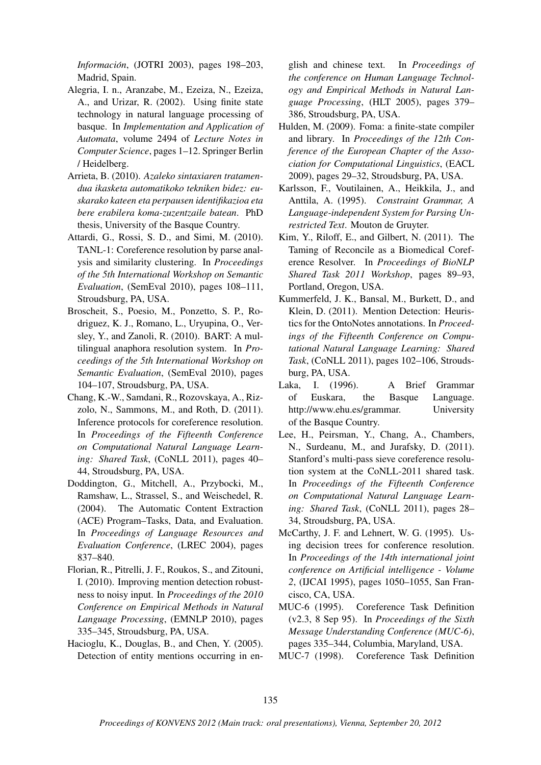*Informacion´* , (JOTRI 2003), pages 198–203, Madrid, Spain.

- Alegria, I. n., Aranzabe, M., Ezeiza, N., Ezeiza, A., and Urizar, R. (2002). Using finite state technology in natural language processing of basque. In *Implementation and Application of Automata*, volume 2494 of *Lecture Notes in Computer Science*, pages 1–12. Springer Berlin / Heidelberg.
- Arrieta, B. (2010). *Azaleko sintaxiaren tratamendua ikasketa automatikoko tekniken bidez: euskarako kateen eta perpausen identifikazioa eta bere erabilera koma-zuzentzaile batean*. PhD thesis, University of the Basque Country.
- Attardi, G., Rossi, S. D., and Simi, M. (2010). TANL-1: Coreference resolution by parse analysis and similarity clustering. In *Proceedings of the 5th International Workshop on Semantic Evaluation*, (SemEval 2010), pages 108–111, Stroudsburg, PA, USA.
- Broscheit, S., Poesio, M., Ponzetto, S. P., Rodriguez, K. J., Romano, L., Uryupina, O., Versley, Y., and Zanoli, R. (2010). BART: A multilingual anaphora resolution system. In *Proceedings of the 5th International Workshop on Semantic Evaluation*, (SemEval 2010), pages 104–107, Stroudsburg, PA, USA.
- Chang, K.-W., Samdani, R., Rozovskaya, A., Rizzolo, N., Sammons, M., and Roth, D. (2011). Inference protocols for coreference resolution. In *Proceedings of the Fifteenth Conference on Computational Natural Language Learning: Shared Task*, (CoNLL 2011), pages 40– 44, Stroudsburg, PA, USA.
- Doddington, G., Mitchell, A., Przybocki, M., Ramshaw, L., Strassel, S., and Weischedel, R. (2004). The Automatic Content Extraction (ACE) Program–Tasks, Data, and Evaluation. In *Proceedings of Language Resources and Evaluation Conference*, (LREC 2004), pages 837–840.
- Florian, R., Pitrelli, J. F., Roukos, S., and Zitouni, I. (2010). Improving mention detection robustness to noisy input. In *Proceedings of the 2010 Conference on Empirical Methods in Natural Language Processing*, (EMNLP 2010), pages 335–345, Stroudsburg, PA, USA.
- Hacioglu, K., Douglas, B., and Chen, Y. (2005). Detection of entity mentions occurring in en-

glish and chinese text. In *Proceedings of the conference on Human Language Technology and Empirical Methods in Natural Language Processing*, (HLT 2005), pages 379– 386, Stroudsburg, PA, USA.

- Hulden, M. (2009). Foma: a finite-state compiler and library. In *Proceedings of the 12th Conference of the European Chapter of the Association for Computational Linguistics*, (EACL 2009), pages 29–32, Stroudsburg, PA, USA.
- Karlsson, F., Voutilainen, A., Heikkila, J., and Anttila, A. (1995). *Constraint Grammar, A Language-independent System for Parsing Unrestricted Text*. Mouton de Gruyter.
- Kim, Y., Riloff, E., and Gilbert, N. (2011). The Taming of Reconcile as a Biomedical Coreference Resolver. In *Proceedings of BioNLP Shared Task 2011 Workshop*, pages 89–93, Portland, Oregon, USA.
- Kummerfeld, J. K., Bansal, M., Burkett, D., and Klein, D. (2011). Mention Detection: Heuristics for the OntoNotes annotations. In *Proceedings of the Fifteenth Conference on Computational Natural Language Learning: Shared Task*, (CoNLL 2011), pages 102–106, Stroudsburg, PA, USA.
- Laka, I. (1996). A Brief Grammar of Euskara, the Basque Language. http://www.ehu.es/grammar. University of the Basque Country.
- Lee, H., Peirsman, Y., Chang, A., Chambers, N., Surdeanu, M., and Jurafsky, D. (2011). Stanford's multi-pass sieve coreference resolution system at the CoNLL-2011 shared task. In *Proceedings of the Fifteenth Conference on Computational Natural Language Learning: Shared Task*, (CoNLL 2011), pages 28– 34, Stroudsburg, PA, USA.
- McCarthy, J. F. and Lehnert, W. G. (1995). Using decision trees for conference resolution. In *Proceedings of the 14th international joint conference on Artificial intelligence - Volume 2*, (IJCAI 1995), pages 1050–1055, San Francisco, CA, USA.
- MUC-6 (1995). Coreference Task Definition (v2.3, 8 Sep 95). In *Proceedings of the Sixth Message Understanding Conference (MUC-6)*, pages 335–344, Columbia, Maryland, USA.
- MUC-7 (1998). Coreference Task Definition